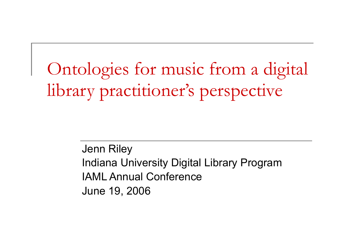Ontologies for music from a digital library practitioner's perspective

> Jenn Riley Indiana University Digital Library Program IAML Annual Conference June 19, 2006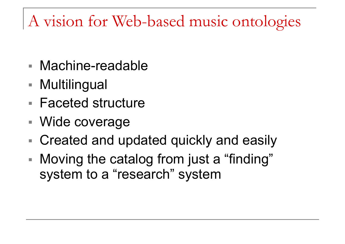### A vision for Web-based music ontologies

- Machine-readable
- Multilingual
- Faceted structure
- Wide coverage
- Created and updated quickly and easily
- Moving the catalog from just a "finding" system to a "research" system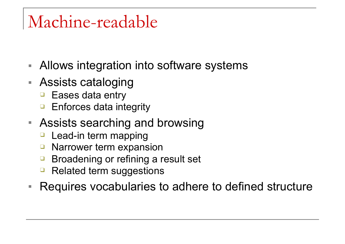## Machine-readable

- Allows integration into software systems
- Assists cataloging
	- ❑ Eases data entry
	- ❑ Enforces data integrity
- Assists searching and browsing
	- Lead-in term mapping
	- ❑ Narrower term expansion
	- ❑ Broadening or refining a result set
	- Related term suggestions
- Requires vocabularies to adhere to defined structure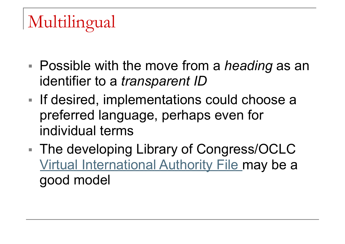# Multilingual

- Possible with the move from a *heading* as an identifier to a *transparent ID*
- If desired, implementations could choose a preferred language, perhaps even for individual terms
- The developing Library of Congress/OCLC Virtual International Authority File may be a good model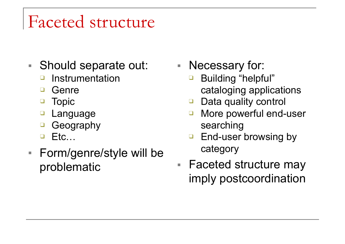## Faceted structure

- Should separate out:
	- ❑ Instrumentation
	- ❑ Genre
	- ❑ Topic
	- **Language**
	- ❑ Geography
	- ❑ Etc…
- Form/genre/style will be problematic

■ Necessary for:

- Building "helpful" cataloging applications
- ❑ Data quality control
- More powerful end-user searching
- □ End-user browsing by category
- Faceted structure may imply postcoordination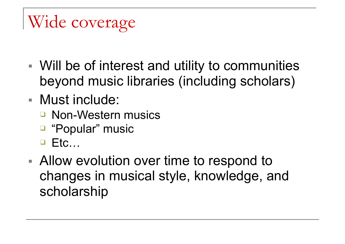# Wide coverage

- Will be of interest and utility to communities beyond music libraries (including scholars)
- Must include:
	- ❑ Non-Western musics
	- ❑ "Popular" music
	- ❑ Etc…
- Allow evolution over time to respond to changes in musical style, knowledge, and scholarship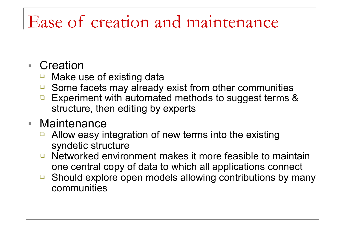### Ease of creation and maintenance

- Creation
	- ❑ Make use of existing data
	- ❑ Some facets may already exist from other communities
	- ❑ Experiment with automated methods to suggest terms & structure, then editing by experts

#### ■ Maintenance

- ❑ Allow easy integration of new terms into the existing syndetic structure
- ❑ Networked environment makes it more feasible to maintain one central copy of data to which all applications connect
- ❑ Should explore open models allowing contributions by many communities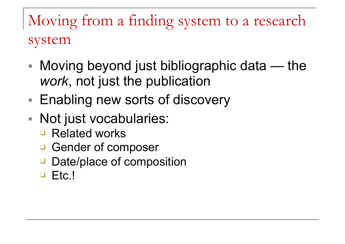Moving from a finding system to a research system

- $\blacksquare$  Moving beyond just bibliographic data the *work*, not just the publication
- Enabling new sorts of discovery
- Not just vocabularies:
	- ❑ Related works
	- Gender of composer
	- Date/place of composition
	- ❑ Etc.!